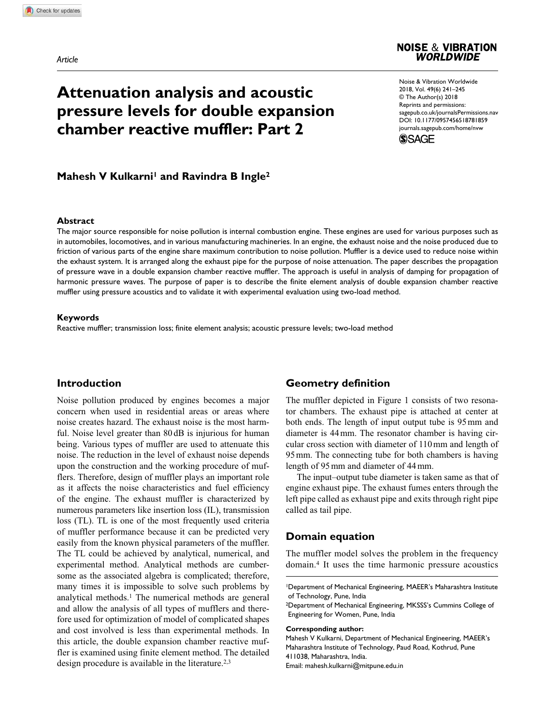#### **NOISE & VIBRATION WORLDWIDE**

# **Attenuation analysis and acoustic pressure levels for double expansion chamber reactive muffler: Part 2**

https://doi.org/10.1177/0957456518781859 DOI: 10.1177/0957456518781859 Noise & Vibration Worldwide 2018, Vol. 49(6) 241-245 © The Author(s) 2018 Reprints and permissions: sagepub.co.uk/journalsPermissions.nav journals.sagepub.com/home/nvw



# **Mahesh V Kulkarni<sup>1</sup> and Ravindra B Ingle<sup>2</sup>**

## **Abstract**

The major source responsible for noise pollution is internal combustion engine. These engines are used for various purposes such as in automobiles, locomotives, and in various manufacturing machineries. In an engine, the exhaust noise and the noise produced due to friction of various parts of the engine share maximum contribution to noise pollution. Muffler is a device used to reduce noise within the exhaust system. It is arranged along the exhaust pipe for the purpose of noise attenuation. The paper describes the propagation of pressure wave in a double expansion chamber reactive muffler. The approach is useful in analysis of damping for propagation of harmonic pressure waves. The purpose of paper is to describe the finite element analysis of double expansion chamber reactive muffler using pressure acoustics and to validate it with experimental evaluation using two-load method.

#### **Keywords**

Reactive muffler; transmission loss; finite element analysis; acoustic pressure levels; two-load method

## **Introduction**

Noise pollution produced by engines becomes a major concern when used in residential areas or areas where noise creates hazard. The exhaust noise is the most harmful. Noise level greater than 80 dB is injurious for human being. Various types of muffler are used to attenuate this noise. The reduction in the level of exhaust noise depends upon the construction and the working procedure of mufflers. Therefore, design of muffler plays an important role as it affects the noise characteristics and fuel efficiency of the engine. The exhaust muffler is characterized by numerous parameters like insertion loss (IL), transmission loss (TL). TL is one of the most frequently used criteria of muffler performance because it can be predicted very easily from the known physical parameters of the muffler. The TL could be achieved by analytical, numerical, and experimental method. Analytical methods are cumbersome as the associated algebra is complicated; therefore, many times it is impossible to solve such problems by analytical methods.<sup>1</sup> The numerical methods are general and allow the analysis of all types of mufflers and therefore used for optimization of model of complicated shapes and cost involved is less than experimental methods. In this article, the double expansion chamber reactive muffler is examined using finite element method. The detailed design procedure is available in the literature.<sup>2,3</sup>

## **Geometry definition**

The muffler depicted in Figure 1 consists of two resonator chambers. The exhaust pipe is attached at center at both ends. The length of input output tube is 95 mm and diameter is 44 mm. The resonator chamber is having circular cross section with diameter of 110 mm and length of 95 mm. The connecting tube for both chambers is having length of 95 mm and diameter of 44 mm.

The input–output tube diameter is taken same as that of engine exhaust pipe. The exhaust fumes enters through the left pipe called as exhaust pipe and exits through right pipe called as tail pipe.

## **Domain equation**

The muffler model solves the problem in the frequency domain.<sup>4</sup> It uses the time harmonic pressure acoustics

#### **Corresponding author:**

Mahesh V Kulkarni, Department of Mechanical Engineering, MAEER's Maharashtra Institute of Technology, Paud Road, Kothrud, Pune 411038, Maharashtra, India. Email: mahesh.kulkarni@mitpune.edu.in

<sup>1</sup> Department of Mechanical Engineering, MAEER's Maharashtra Institute of Technology, Pune, India

<sup>2</sup> Department of Mechanical Engineering, MKSSS's Cummins College of Engineering for Women, Pune, India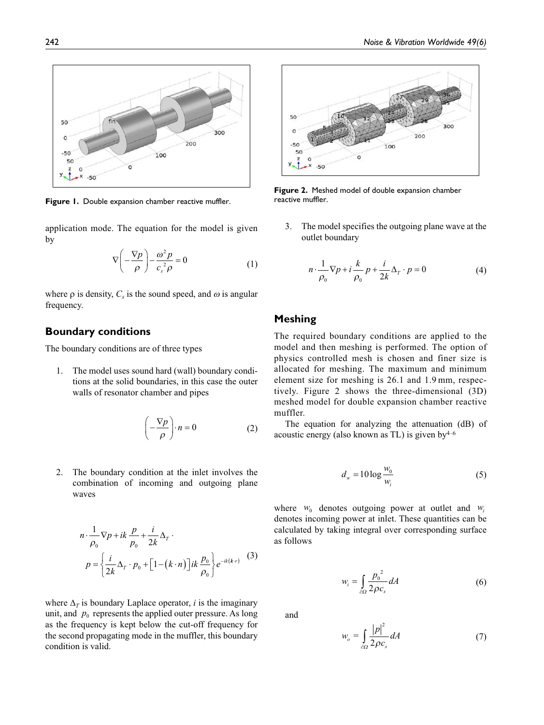

**Figure 1.** Double expansion chamber reactive muffler. The reactive muffler.

application mode. The equation for the model is given by

$$
\nabla \left( -\frac{\nabla p}{\rho} \right) - \frac{\omega^2 p}{c_s^2 \rho} = 0 \tag{1}
$$

where  $\rho$  is density,  $C_s$  is the sound speed, and  $\omega$  is angular frequency.

## **Boundary conditions**

The boundary conditions are of three types

1. The model uses sound hard (wall) boundary conditions at the solid boundaries, in this case the outer walls of resonator chamber and pipes

$$
\left(-\frac{\nabla p}{\rho}\right) \cdot n = 0 \tag{2}
$$

2. The boundary condition at the inlet involves the combination of incoming and outgoing plane waves

$$
n \cdot \frac{1}{\rho_0} \nabla p + ik \frac{p}{\rho_0} + \frac{i}{2k} \Delta_T
$$
  

$$
p = \left\{ \frac{i}{2k} \Delta_T \cdot p_0 + \left[ 1 - (k \cdot n) \right] ik \frac{p_0}{\rho_0} \right\} e^{-ik(k \cdot r)} \quad (3)
$$

where  $\Delta_T$  is boundary Laplace operator, *i* is the imaginary unit, and  $p_0$  represents the applied outer pressure. As long as the frequency is kept below the cut-off frequency for the second propagating mode in the muffler, this boundary condition is valid.



**Figure 2.** Meshed model of double expansion chamber

3. The model specifies the outgoing plane wave at the outlet boundary

$$
n \cdot \frac{1}{\rho_0} \nabla p + i \frac{k}{\rho_0} p + \frac{i}{2k} \Delta_T \cdot p = 0 \tag{4}
$$

# **Meshing**

The required boundary conditions are applied to the model and then meshing is performed. The option of physics controlled mesh is chosen and finer size is allocated for meshing. The maximum and minimum element size for meshing is 26.1 and 1.9 mm, respectively. Figure 2 shows the three-dimensional (3D) meshed model for double expansion chamber reactive muffler.

The equation for analyzing the attenuation (dB) of acoustic energy (also known as TL) is given by  $4-6$ 

$$
d_w = 10 \log \frac{w_0}{w_i} \tag{5}
$$

where  $w_0$  denotes outgoing power at outlet and  $w_i$ denotes incoming power at inlet. These quantities can be calculated by taking integral over corresponding surface as follows

$$
w_i = \int_{\partial \Omega} \frac{p_0^2}{2\rho c_s} dA \tag{6}
$$

and

*w* 

$$
\nu_o = \int_{\partial \Omega} \frac{|p|^2}{2\rho c_s} dA \tag{7}
$$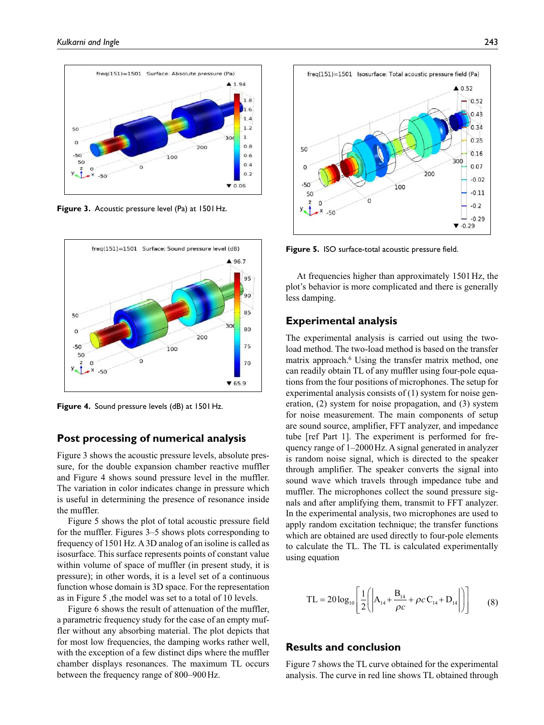

**Figure 3.** Acoustic pressure level (Pa) at 1501 Hz.



**Figure 4.** Sound pressure levels (dB) at 1501 Hz.

#### **Post processing of numerical analysis**

Figure 3 shows the acoustic pressure levels, absolute pressure, for the double expansion chamber reactive muffler and Figure 4 shows sound pressure level in the muffler. The variation in color indicates change in pressure which is useful in determining the presence of resonance inside the muffler.

Figure 5 shows the plot of total acoustic pressure field for the muffler. Figures 3–5 shows plots corresponding to frequency of 1501 Hz. A 3D analog of an isoline is called as isosurface. This surface represents points of constant value within volume of space of muffler (in present study, it is pressure); in other words, it is a level set of a continuous function whose domain is 3D space. For the representation as in Figure 5 ,the model was set to a total of 10 levels.

Figure 6 shows the result of attenuation of the muffler, a parametric frequency study for the case of an empty muffler without any absorbing material. The plot depicts that for most low frequencies, the damping works rather well, with the exception of a few distinct dips where the muffler chamber displays resonances. The maximum TL occurs between the frequency range of 800–900 Hz.



**Figure 5.** ISO surface-total acoustic pressure field.

At frequencies higher than approximately 1501 Hz, the plot's behavior is more complicated and there is generally less damping.

#### **Experimental analysis**

The experimental analysis is carried out using the twoload method. The two-load method is based on the transfer matrix approach.<sup>6</sup> Using the transfer matrix method, one can readily obtain TL of any muffler using four-pole equations from the four positions of microphones. The setup for experimental analysis consists of (1) system for noise generation, (2) system for noise propagation, and (3) system for noise measurement. The main components of setup are sound source, amplifier, FFT analyzer, and impedance tube [ref Part 1]. The experiment is performed for frequency range of 1–2000 Hz. A signal generated in analyzer is random noise signal, which is directed to the speaker through amplifier. The speaker converts the signal into sound wave which travels through impedance tube and muffler. The microphones collect the sound pressure signals and after amplifying them, transmit to FFT analyzer. In the experimental analysis, two microphones are used to apply random excitation technique; the transfer functions which are obtained are used directly to four-pole elements to calculate the TL. The TL is calculated experimentally using equation

$$
TL = 20 \log_{10} \left[ \frac{1}{2} \left( \left| A_{14} + \frac{B_{14}}{\rho c} + \rho c \, C_{14} + D_{14} \right| \right) \right] \tag{8}
$$

# **Results and conclusion**

Figure 7 shows the TL curve obtained for the experimental analysis. The curve in red line shows TL obtained through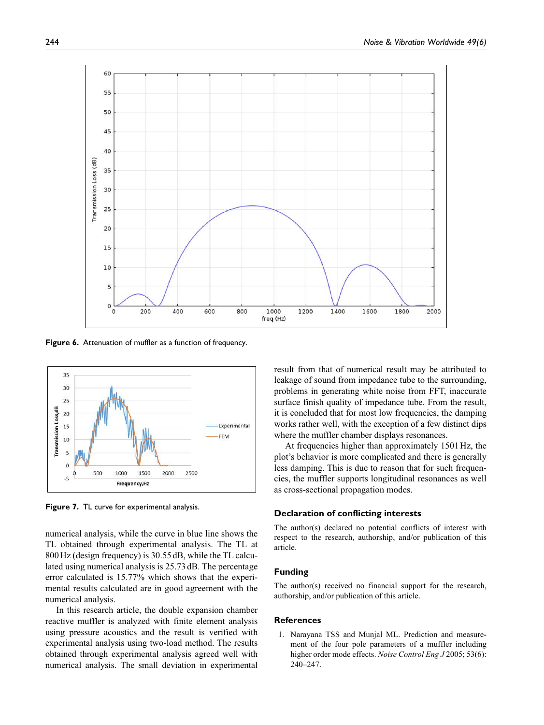

**Figure 6.** Attenuation of muffler as a function of frequency.



**Figure 7.** TL curve for experimental analysis.

numerical analysis, while the curve in blue line shows the TL obtained through experimental analysis. The TL at 800 Hz (design frequency) is 30.55 dB, while the TL calculated using numerical analysis is 25.73 dB. The percentage error calculated is 15.77% which shows that the experimental results calculated are in good agreement with the numerical analysis.

In this research article, the double expansion chamber reactive muffler is analyzed with finite element analysis using pressure acoustics and the result is verified with experimental analysis using two-load method. The results obtained through experimental analysis agreed well with numerical analysis. The small deviation in experimental

result from that of numerical result may be attributed to leakage of sound from impedance tube to the surrounding, problems in generating white noise from FFT, inaccurate surface finish quality of impedance tube. From the result, it is concluded that for most low frequencies, the damping works rather well, with the exception of a few distinct dips where the muffler chamber displays resonances.

At frequencies higher than approximately 1501 Hz, the plot's behavior is more complicated and there is generally less damping. This is due to reason that for such frequencies, the muffler supports longitudinal resonances as well as cross-sectional propagation modes.

#### **Declaration of conflicting interests**

The author(s) declared no potential conflicts of interest with respect to the research, authorship, and/or publication of this article.

#### **Funding**

The author(s) received no financial support for the research, authorship, and/or publication of this article.

#### **References**

 1. Narayana TSS and Munjal ML. Prediction and measurement of the four pole parameters of a muffler including higher order mode effects. *Noise Control Eng J* 2005; 53(6): 240–247.